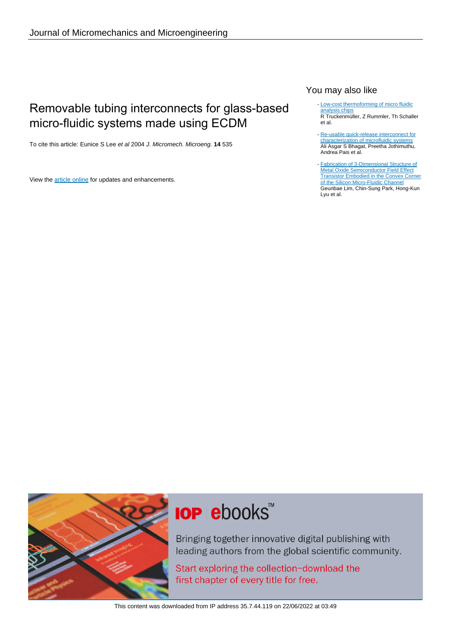# Removable tubing interconnects for glass-based micro-fluidic systems made using ECDM

To cite this article: Eunice S Lee et al 2004 J. Micromech. Microeng. **14** 535

View the [article online](https://doi.org/10.1088/0960-1317/14/4/014) for updates and enhancements.

# You may also like

- [Low-cost thermoforming of micro fluidic](https://iopscience.iop.org/article/10.1088/0960-1317/12/4/304) [analysis chips](https://iopscience.iop.org/article/10.1088/0960-1317/12/4/304) R Truckenmüller, Z Rummler, Th Schaller et al.
- [Re-usable quick-release interconnect for](https://iopscience.iop.org/article/10.1088/0960-1317/17/1/006) [characterization of microfluidic systems](https://iopscience.iop.org/article/10.1088/0960-1317/17/1/006) Ali Asgar S Bhagat, Preetha Jothimuthu, Andrea Pais et al.
- **[Fabrication of 3-Dimensional Structure of](https://iopscience.iop.org/article/10.1143/JJAP.42.4089)** [Metal Oxide Semiconductor Field Effect](https://iopscience.iop.org/article/10.1143/JJAP.42.4089) [Transistor Embodied in the Convex Corner](https://iopscience.iop.org/article/10.1143/JJAP.42.4089) [of the Silicon Micro-Fluidic Channel](https://iopscience.iop.org/article/10.1143/JJAP.42.4089) Geunbae Lim, Chin-Sung Park, Hong-Kun Lyu et al.



# **IOP ebooks**™

Bringing together innovative digital publishing with leading authors from the global scientific community.

Start exploring the collection-download the first chapter of every title for free.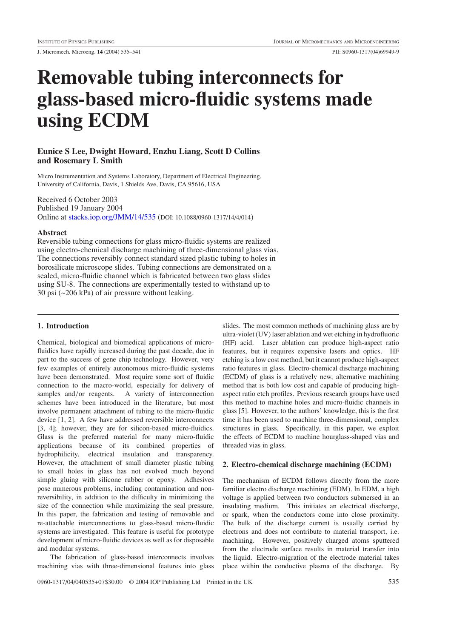J. Micromech. Microeng. **14** (2004) 535–541 PII: S0960-1317(04)69949-9

# **Removable tubing interconnects for glass-based micro-fluidic systems made using ECDM**

# **Eunice S Lee, Dwight Howard, Enzhu Liang, Scott D Collins and Rosemary L Smith**

Micro Instrumentation and Systems Laboratory, Department of Electrical Engineering, University of California, Davis, 1 Shields Ave, Davis, CA 95616, USA

Received 6 October 2003 Published 19 January 2004 Online at [stacks.iop.org/JMM/14/535](http://stacks.iop.org/jm/14/535) (DOI: 10.1088/0960-1317/14/4/014)

# **Abstract**

Reversible tubing connections for glass micro-fluidic systems are realized using electro-chemical discharge machining of three-dimensional glass vias. The connections reversibly connect standard sized plastic tubing to holes in borosilicate microscope slides. Tubing connections are demonstrated on a sealed, micro-fluidic channel which is fabricated between two glass slides using SU-8. The connections are experimentally tested to withstand up to 30 psi (~206 kPa) of air pressure without leaking.

# **1. Introduction**

Chemical, biological and biomedical applications of microfluidics have rapidly increased during the past decade, due in part to the success of gene chip technology. However, very few examples of entirely autonomous micro-fluidic systems have been demonstrated. Most require some sort of fluidic connection to the macro-world, especially for delivery of samples and/or reagents. A variety of interconnection schemes have been introduced in the literature, but most involve permanent attachment of tubing to the micro-fluidic device [1, 2]. A few have addressed reversible interconnects [3, 4]; however, they are for silicon-based micro-fluidics. Glass is the preferred material for many micro-fluidic applications because of its combined properties of hydrophilicity, electrical insulation and transparency. However, the attachment of small diameter plastic tubing to small holes in glass has not evolved much beyond simple gluing with silicone rubber or epoxy. Adhesives pose numerous problems, including contamination and nonreversibility, in addition to the difficulty in minimizing the size of the connection while maximizing the seal pressure. In this paper, the fabrication and testing of removable and re-attachable interconnections to glass-based micro-fluidic systems are investigated. This feature is useful for prototype development of micro-fluidic devices as well as for disposable and modular systems.

The fabrication of glass-based interconnects involves machining vias with three-dimensional features into glass

slides. The most common methods of machining glass are by ultra-violet (UV) laser ablation and wet etching in hydrofluoric (HF) acid. Laser ablation can produce high-aspect ratio features, but it requires expensive lasers and optics. HF etching is a low cost method, but it cannot produce high-aspect ratio features in glass. Electro-chemical discharge machining (ECDM) of glass is a relatively new, alternative machining method that is both low cost and capable of producing highaspect ratio etch profiles. Previous research groups have used this method to machine holes and micro-fluidic channels in glass [5]. However, to the authors' knowledge, this is the first time it has been used to machine three-dimensional, complex structures in glass. Specifically, in this paper, we exploit the effects of ECDM to machine hourglass-shaped vias and threaded vias in glass.

# **2. Electro-chemical discharge machining (ECDM)**

The mechanism of ECDM follows directly from the more familiar electro discharge machining (EDM). In EDM, a high voltage is applied between two conductors submersed in an insulating medium. This initiates an electrical discharge, or spark, when the conductors come into close proximity. The bulk of the discharge current is usually carried by electrons and does not contribute to material transport, i.e. machining. However, positively charged atoms sputtered from the electrode surface results in material transfer into the liquid. Electro-migration of the electrode material takes place within the conductive plasma of the discharge. By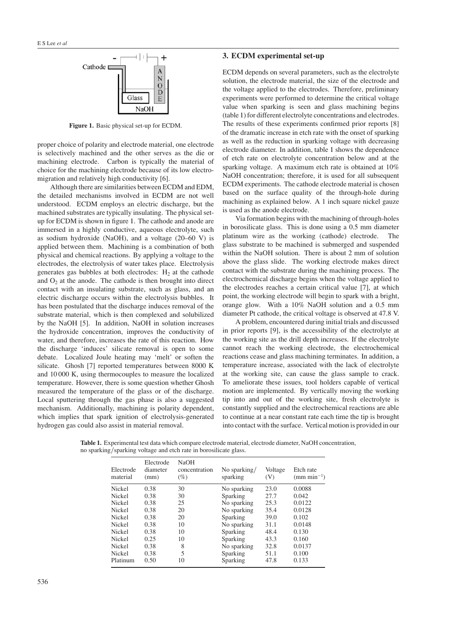

**Figure 1.** Basic physical set-up for ECDM.

<span id="page-2-0"></span>proper choice of polarity and electrode material, one electrode is selectively machined and the other serves as the die or machining electrode. Carbon is typically the material of choice for the machining electrode because of its low electromigration and relatively high conductivity [6].

Although there are similarities between ECDM and EDM, the detailed mechanisms involved in ECDM are not well understood. ECDM employs an electric discharge, but the machined substrates are typically insulating. The physical setup for ECDM is shown in figure [1.](#page-2-0) The cathode and anode are immersed in a highly conductive, aqueous electrolyte, such as sodium hydroxide (NaOH), and a voltage (20–60 V) is applied between them. Machining is a combination of both physical and chemical reactions. By applying a voltage to the electrodes, the electrolysis of water takes place. Electrolysis generates gas bubbles at both electrodes:  $H_2$  at the cathode and  $O<sub>2</sub>$  at the anode. The cathode is then brought into direct contact with an insulating substrate, such as glass, and an electric discharge occurs within the electrolysis bubbles. It has been postulated that the discharge induces removal of the substrate material, which is then complexed and solubilized by the NaOH [5]. In addition, NaOH in solution increases the hydroxide concentration, improves the conductivity of water, and therefore, increases the rate of this reaction. How the discharge 'induces' silicate removal is open to some debate. Localized Joule heating may 'melt' or soften the silicate. Ghosh [7] reported temperatures between 8000 K and 10 000 K, using thermocouples to measure the localized temperature. However, there is some question whether Ghosh measured the temperature of the glass or of the discharge. Local sputtering through the gas phase is also a suggested mechanism. Additionally, machining is polarity dependent, which implies that spark ignition of electrolysis-generated hydrogen gas could also assist in material removal.

# **3. ECDM experimental set-up**

ECDM depends on several parameters, such as the electrolyte solution, the electrode material, the size of the electrode and the voltage applied to the electrodes. Therefore, preliminary experiments were performed to determine the critical voltage value when sparking is seen and glass machining begins (table [1\)](#page-2-1) for different electrolyte concentrations and electrodes. The results of these experiments confirmed prior reports [8] of the dramatic increase in etch rate with the onset of sparking as well as the reduction in sparking voltage with decreasing electrode diameter. In addition, table [1](#page-2-1) shows the dependence of etch rate on electrolyte concentration below and at the sparking voltage. A maximum etch rate is obtained at 10% NaOH concentration; therefore, it is used for all subsequent ECDM experiments. The cathode electrode material is chosen based on the surface quality of the through-hole during machining as explained below. A 1 inch square nickel gauze is used as the anode electrode.

Via formation begins with the machining of through-holes in borosilicate glass. This is done using a 0.5 mm diameter platinum wire as the working (cathode) electrode. The glass substrate to be machined is submerged and suspended within the NaOH solution. There is about 2 mm of solution above the glass slide. The working electrode makes direct contact with the substrate during the machining process. The electrochemical discharge begins when the voltage applied to the electrodes reaches a certain critical value [7], at which point, the working electrode will begin to spark with a bright, orange glow. With a 10% NaOH solution and a 0.5 mm diameter Pt cathode, the critical voltage is observed at 47.8 V.

A problem, encountered during initial trials and discussed in prior reports [9], is the accessibility of the electrolyte at the working site as the drill depth increases. If the electrolyte cannot reach the working electrode, the electrochemical reactions cease and glass machining terminates. In addition, a temperature increase, associated with the lack of electrolyte at the working site, can cause the glass sample to crack. To ameliorate these issues, tool holders capable of vertical motion are implemented. By vertically moving the working tip into and out of the working site, fresh electrolyte is constantly supplied and the electrochemical reactions are able to continue at a near constant rate each time the tip is brought into contact with the surface. Vertical motion is provided in our

<span id="page-2-1"></span>**Table 1.** Experimental test data which compare electrode material, electrode diameter, NaOH concentration, no sparking*/*sparking voltage and etch rate in borosilicate glass.

| Electrode<br>material | Electrode<br>diameter<br>(mm) | <b>NaOH</b><br>concentration<br>$(\%)$ | No sparking/<br>sparking | Voltage<br>(V) | Etch rate<br>$\text{(mm min}^{-1})$ |
|-----------------------|-------------------------------|----------------------------------------|--------------------------|----------------|-------------------------------------|
| Nickel                | 0.38                          | 30                                     | No sparking              | 23.0           | 0.0088                              |
| Nickel                | 0.38                          | 30                                     | Sparking                 | 27.7           | 0.042                               |
| Nickel                | 0.38                          | 25                                     | No sparking              | 25.3           | 0.0122                              |
| Nickel                | 0.38                          | 20                                     | No sparking              | 35.4           | 0.0128                              |
| Nickel                | 0.38                          | 20                                     | Sparking                 | 39.0           | 0.102                               |
| Nickel                | 0.38                          | 10                                     | No sparking              | 31.1           | 0.0148                              |
| Nickel                | 0.38                          | 10                                     | Sparking                 | 48.4           | 0.130                               |
| Nickel                | 0.25                          | 10                                     | Sparking                 | 43.3           | 0.160                               |
| Nickel                | 0.38                          | 8                                      | No sparking              | 32.8           | 0.0137                              |
| Nickel                | 0.38                          | 5                                      | Sparking                 | 51.1           | 0.100                               |
| Platinum              | 0.50                          | 10                                     | Sparking                 | 47.8           | 0.133                               |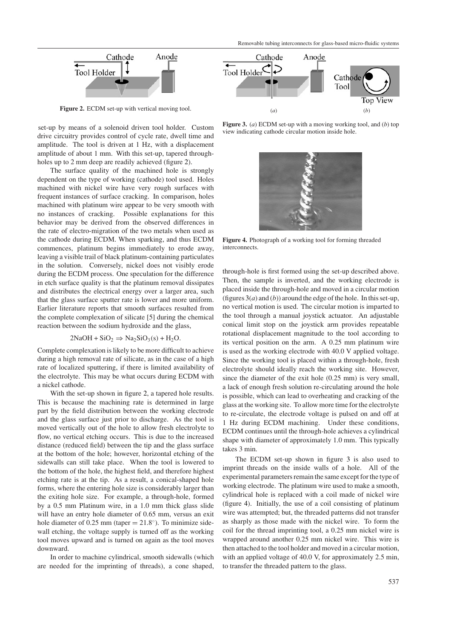

**Figure 2.** ECDM set-up with vertical moving tool.

<span id="page-3-0"></span>set-up by means of a solenoid driven tool holder. Custom drive circuitry provides control of cycle rate, dwell time and amplitude. The tool is driven at 1 Hz, with a displacement amplitude of about 1 mm. With this set-up, tapered throughholes up to 2 mm deep are readily achieved (figure [2\)](#page-3-0).

The surface quality of the machined hole is strongly dependent on the type of working (cathode) tool used. Holes machined with nickel wire have very rough surfaces with frequent instances of surface cracking. In comparison, holes machined with platinum wire appear to be very smooth with no instances of cracking. Possible explanations for this behavior may be derived from the observed differences in the rate of electro-migration of the two metals when used as the cathode during ECDM. When sparking, and thus ECDM commences, platinum begins immediately to erode away, leaving a visible trail of black platinum-containing particulates in the solution. Conversely, nickel does not visibly erode during the ECDM process. One speculation for the difference in etch surface quality is that the platinum removal dissipates and distributes the electrical energy over a larger area, such that the glass surface sputter rate is lower and more uniform. Earlier literature reports that smooth surfaces resulted from the complete complexation of silicate [5] during the chemical reaction between the sodium hydroxide and the glass,

 $2NaOH + SiO<sub>2</sub> \Rightarrow Na<sub>2</sub>SiO<sub>3</sub>(s) + H<sub>2</sub>O.$ 

Complete complexation is likely to be more difficult to achieve during a high removal rate of silicate, as in the case of a high rate of localized sputtering, if there is limited availability of the electrolyte. This may be what occurs during ECDM with a nickel cathode.

With the set-up shown in figure [2,](#page-3-0) a tapered hole results. This is because the machining rate is determined in large part by the field distribution between the working electrode and the glass surface just prior to discharge. As the tool is moved vertically out of the hole to allow fresh electrolyte to flow, no vertical etching occurs. This is due to the increased distance (reduced field) between the tip and the glass surface at the bottom of the hole; however, horizontal etching of the sidewalls can still take place. When the tool is lowered to the bottom of the hole, the highest field, and therefore highest etching rate is at the tip. As a result, a conical-shaped hole forms, where the entering hole size is considerably larger than the exiting hole size. For example, a through-hole, formed by a 0.5 mm Platinum wire, in a 1.0 mm thick glass slide will have an entry hole diameter of 0.65 mm, versus an exit hole diameter of 0.25 mm (taper  $= 21.8^{\circ}$ ). To minimize sidewall etching, the voltage supply is turned off as the working tool moves upward and is turned on again as the tool moves downward.

In order to machine cylindrical, smooth sidewalls (which are needed for the imprinting of threads), a cone shaped,



<span id="page-3-1"></span>**Figure 3.** (*a*) ECDM set-up with a moving working tool, and (*b*) top view indicating cathode circular motion inside hole.



**Figure 4.** Photograph of a working tool for forming threaded interconnects.

<span id="page-3-2"></span>through-hole is first formed using the set-up described above. Then, the sample is inverted, and the working electrode is placed inside the through-hole and moved in a circular motion (figures  $3(a)$  $3(a)$  and (*b*)) around the edge of the hole. In this set-up, no vertical motion is used. The circular motion is imparted to the tool through a manual joystick actuator. An adjustable conical limit stop on the joystick arm provides repeatable rotational displacement magnitude to the tool according to its vertical position on the arm. A 0.25 mm platinum wire is used as the working electrode with 40.0 V applied voltage. Since the working tool is placed within a through-hole, fresh electrolyte should ideally reach the working site. However, since the diameter of the exit hole (0.25 mm) is very small, a lack of enough fresh solution re-circulating around the hole is possible, which can lead to overheating and cracking of the glass at the working site. To allow more time for the electrolyte to re-circulate, the electrode voltage is pulsed on and off at 1 Hz during ECDM machining. Under these conditions, ECDM continues until the through-hole achieves a cylindrical shape with diameter of approximately 1.0 mm. This typically takes 3 min.

The ECDM set-up shown in figure [3](#page-3-1) is also used to imprint threads on the inside walls of a hole. All of the experimental parameters remain the same except for the type of working electrode. The platinum wire used to make a smooth, cylindrical hole is replaced with a coil made of nickel wire (figure [4\)](#page-3-2). Initially, the use of a coil consisting of platinum wire was attempted; but, the threaded patterns did not transfer as sharply as those made with the nickel wire. To form the coil for the thread imprinting tool, a 0.25 mm nickel wire is wrapped around another 0.25 mm nickel wire. This wire is then attached to the tool holder and moved in a circular motion, with an applied voltage of 40.0 V, for approximately 2.5 min, to transfer the threaded pattern to the glass.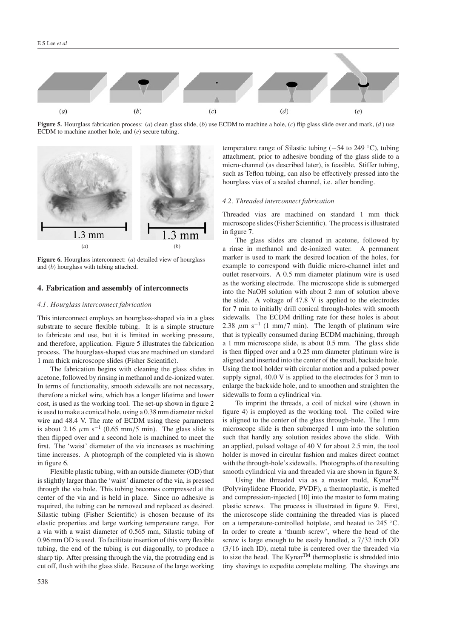

**Figure 5.** Hourglass fabrication process: (*a*) clean glass slide, (*b*) use ECDM to machine a hole, (*c*) flip glass slide over and mark, (*d*) use ECDM to machine another hole, and (*e*) secure tubing.

<span id="page-4-0"></span>

<span id="page-4-1"></span>**Figure 6.** Hourglass interconnect: (*a*) detailed view of hourglass and (*b*) hourglass with tubing attached.

#### **4. Fabrication and assembly of interconnects**

#### *4.1. Hourglass interconnect fabrication*

This interconnect employs an hourglass-shaped via in a glass substrate to secure flexible tubing. It is a simple structure to fabricate and use, but it is limited in working pressure, and therefore, application. Figure [5](#page-4-0) illustrates the fabrication process. The hourglass-shaped vias are machined on standard 1 mm thick microscope slides (Fisher Scientific).

The fabrication begins with cleaning the glass slides in acetone, followed by rinsing in methanol and de-ionized water. In terms of functionality, smooth sidewalls are not necessary, therefore a nickel wire, which has a longer lifetime and lower cost, is used as the working tool. The set-up shown in figure [2](#page-3-0) is used to make a conical hole, using a 0.38 mm diameter nickel wire and 48.4 V. The rate of ECDM using these parameters is about 2.16  $\mu$ m s<sup>-1</sup> (0.65 mm/5 min). The glass slide is then flipped over and a second hole is machined to meet the first. The 'waist' diameter of the via increases as machining time increases. A photograph of the completed via is shown in figure [6.](#page-4-1)

Flexible plastic tubing, with an outside diameter (OD) that is slightly larger than the 'waist' diameter of the via, is pressed through the via hole. This tubing becomes compressed at the center of the via and is held in place. Since no adhesive is required, the tubing can be removed and replaced as desired. Silastic tubing (Fisher Scientific) is chosen because of its elastic properties and large working temperature range. For a via with a waist diameter of 0.565 mm, Silastic tubing of 0.96 mm OD is used. To facilitate insertion of this very flexible tubing, the end of the tubing is cut diagonally, to produce a sharp tip. After pressing through the via, the protruding end is cut off, flush with the glass slide. Because of the large working

temperature range of Silastic tubing (−54 to 249 ◦C), tubing attachment, prior to adhesive bonding of the glass slide to a micro-channel (as described later), is feasible. Stiffer tubing, such as Teflon tubing, can also be effectively pressed into the hourglass vias of a sealed channel, i.e. after bonding.

#### *4.2. Threaded interconnect fabrication*

Threaded vias are machined on standard 1 mm thick microscope slides (Fisher Scientific). The process is illustrated in figure [7.](#page-5-0)

The glass slides are cleaned in acetone, followed by a rinse in methanol and de-ionized water. A permanent marker is used to mark the desired location of the holes, for example to correspond with fluidic micro-channel inlet and outlet reservoirs. A 0.5 mm diameter platinum wire is used as the working electrode. The microscope slide is submerged into the NaOH solution with about 2 mm of solution above the slide. A voltage of 47.8 V is applied to the electrodes for 7 min to initially drill conical through-holes with smooth sidewalls. The ECDM drilling rate for these holes is about 2.38  $\mu$ m s<sup>-1</sup> (1 mm/7 min). The length of platinum wire that is typically consumed during ECDM machining, through a 1 mm microscope slide, is about 0.5 mm. The glass slide is then flipped over and a 0.25 mm diameter platinum wire is aligned and inserted into the center of the small, backside hole. Using the tool holder with circular motion and a pulsed power supply signal, 40.0 V is applied to the electrodes for 3 min to enlarge the backside hole, and to smoothen and straighten the sidewalls to form a cylindrical via.

To imprint the threads, a coil of nickel wire (shown in figure [4\)](#page-3-2) is employed as the working tool. The coiled wire is aligned to the center of the glass through-hole. The 1 mm microscope slide is then submerged 1 mm into the solution such that hardly any solution resides above the slide. With an applied, pulsed voltage of 40 V for about 2.5 min, the tool holder is moved in circular fashion and makes direct contact with the through-hole's sidewalls. Photographs of the resulting smooth cylindrical via and threaded via are shown in figure [8.](#page-5-1)

Using the threaded via as a master mold, Kynar<sup>TM</sup> (Polyvinylidene Fluoride, PVDF), a thermoplastic, is melted and compression-injected [10] into the master to form mating plastic screws. The process is illustrated in figure [9.](#page-6-0) First, the microscope slide containing the threaded vias is placed on a temperature-controlled hotplate, and heated to 245 ◦C. In order to create a 'thumb screw', where the head of the screw is large enough to be easily handled, a 7*/*32 inch OD (3*/*16 inch ID), metal tube is centered over the threaded via to size the head. The Kynar<sup>TM</sup> thermoplastic is shredded into tiny shavings to expedite complete melting. The shavings are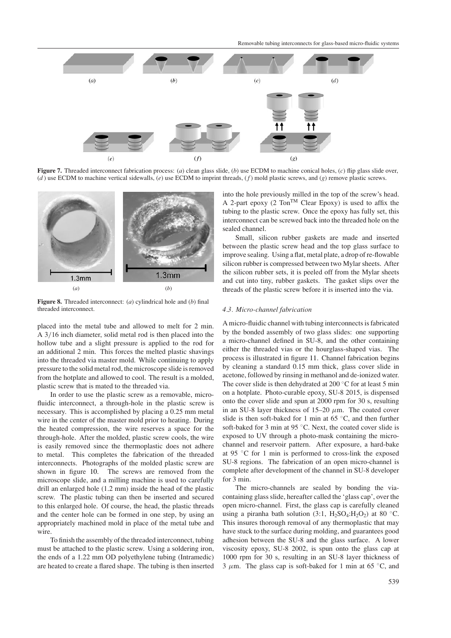

**Figure 7.** Threaded interconnect fabrication process: (*a*) clean glass slide, (*b*) use ECDM to machine conical holes, (*c*) flip glass slide over, (*d* ) use ECDM to machine vertical sidewalls, (*e*) use ECDM to imprint threads, (*f* ) mold plastic screws, and (*g*) remove plastic screws.

<span id="page-5-0"></span>

<span id="page-5-1"></span>**Figure 8.** Threaded interconnect: (*a*) cylindrical hole and (*b*) final threaded interconnect.

placed into the metal tube and allowed to melt for 2 min. A 3*/*16 inch diameter, solid metal rod is then placed into the hollow tube and a slight pressure is applied to the rod for an additional 2 min. This forces the melted plastic shavings into the threaded via master mold. While continuing to apply pressure to the solid metal rod, the microscope slide is removed from the hotplate and allowed to cool. The result is a molded, plastic screw that is mated to the threaded via.

In order to use the plastic screw as a removable, microfluidic interconnect, a through-hole in the plastic screw is necessary. This is accomplished by placing a 0.25 mm metal wire in the center of the master mold prior to heating. During the heated compression, the wire reserves a space for the through-hole. After the molded, plastic screw cools, the wire is easily removed since the thermoplastic does not adhere to metal. This completes the fabrication of the threaded interconnects. Photographs of the molded plastic screw are shown in figure [10.](#page-6-1) The screws are removed from the microscope slide, and a milling machine is used to carefully drill an enlarged hole (1.2 mm) inside the head of the plastic screw. The plastic tubing can then be inserted and secured to this enlarged hole. Of course, the head, the plastic threads and the center hole can be formed in one step, by using an appropriately machined mold in place of the metal tube and wire.

To finish the assembly of the threaded interconnect, tubing must be attached to the plastic screw. Using a soldering iron, the ends of a 1.22 mm OD polyethylene tubing (Intramedic) are heated to create a flared shape. The tubing is then inserted into the hole previously milled in the top of the screw's head. A 2-part epoxy (2  $\text{Tom}^{\text{TM}}$  Clear Epoxy) is used to affix the tubing to the plastic screw. Once the epoxy has fully set, this interconnect can be screwed back into the threaded hole on the sealed channel.

Small, silicon rubber gaskets are made and inserted between the plastic screw head and the top glass surface to improve sealing. Using a flat, metal plate, a drop of re-flowable silicon rubber is compressed between two Mylar sheets. After the silicon rubber sets, it is peeled off from the Mylar sheets and cut into tiny, rubber gaskets. The gasket slips over the threads of the plastic screw before it is inserted into the via.

#### *4.3. Micro-channel fabrication*

A micro-fluidic channel with tubing interconnects is fabricated by the bonded assembly of two glass slides: one supporting a micro-channel defined in SU-8, and the other containing either the threaded vias or the hourglass-shaped vias. The process is illustrated in figure [11.](#page-6-2) Channel fabrication begins by cleaning a standard 0.15 mm thick, glass cover slide in acetone, followed by rinsing in methanol and de-ionized water. The cover slide is then dehydrated at  $200\text{ °C}$  for at least 5 min on a hotplate. Photo-curable epoxy, SU-8 2015, is dispensed onto the cover slide and spun at 2000 rpm for 30 s, resulting in an SU-8 layer thickness of  $15-20 \mu m$ . The coated cover slide is then soft-baked for 1 min at 65  $°C$ , and then further soft-baked for 3 min at 95 ◦C. Next, the coated cover slide is exposed to UV through a photo-mask containing the microchannel and reservoir pattern. After exposure, a hard-bake at 95 ◦C for 1 min is performed to cross-link the exposed SU-8 regions. The fabrication of an open micro-channel is complete after development of the channel in SU-8 developer for 3 min.

The micro-channels are sealed by bonding the viacontaining glass slide, hereafter called the 'glass cap', over the open micro-channel. First, the glass cap is carefully cleaned using a piranha bath solution (3:1,  $H_2SO_4:H_2O_2$ ) at 80 °C. This insures thorough removal of any thermoplastic that may have stuck to the surface during molding, and guarantees good adhesion between the SU-8 and the glass surface. A lower viscosity epoxy, SU-8 2002, is spun onto the glass cap at 1000 rpm for 30 s, resulting in an SU-8 layer thickness of  $3 \mu$ m. The glass cap is soft-baked for 1 min at 65  $\degree$ C, and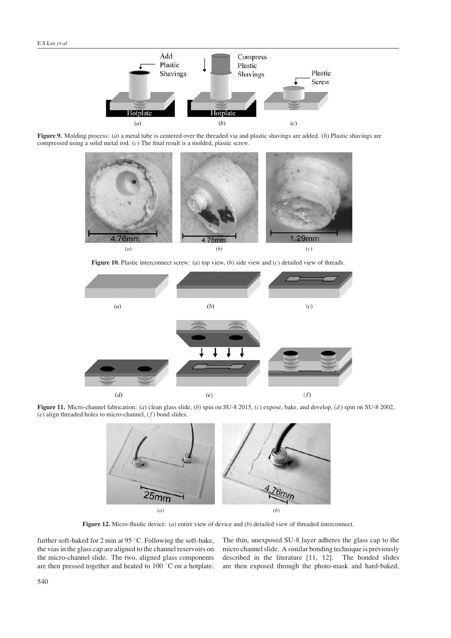

<span id="page-6-0"></span>**Figure 9.** Molding process: (*a*) a metal tube is centered over the threaded via and plastic shavings are added. (*b*) Plastic shavings are compressed using a solid metal rod. (*c*) The final result is a molded, plastic screw.



**Figure 10.** Plastic interconnect screw: (*a*) top view, (*b*) side view and (*c*) detailed view of threads.

<span id="page-6-1"></span>

<span id="page-6-2"></span>**Figure 11.** Micro-channel fabrication: (*a*) clean glass slide, (*b*) spin on SU-8 2015, (*c*) expose, bake, and develop, (*d* ) spin on SU-8 2002,  $(e)$  align threaded holes to micro-channel,  $(f)$  bond slides.



**Figure 12.** Micro-fluidic device: (*a*) entire view of device and (*b*) detailed view of threaded interconnect.

<span id="page-6-3"></span>further soft-baked for 2 min at 95 ◦C. Following the soft-bake, the vias in the glass cap are aligned to the channel reservoirs on the micro-channel slide. The two, aligned glass components are then pressed together and heated to 100 ◦C on a hotplate.

The thin, unexposed SU-8 layer adheres the glass cap to the micro channel slide. A similar bonding technique is previously described in the literature [11, 12]. The bonded slides are then exposed through the photo-mask and hard-baked,